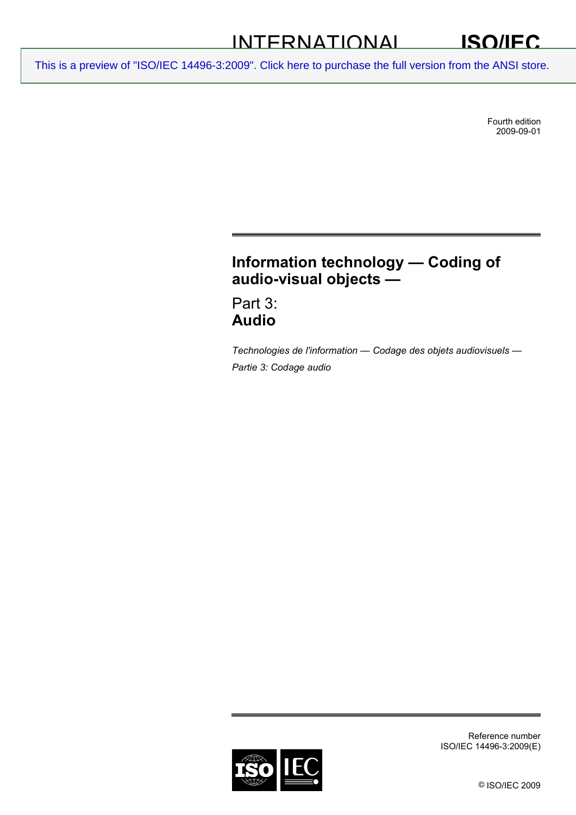#### INTERNATIONAL **ISO/IEC**

[This is a preview of "ISO/IEC 14496-3:2009". Click here to purchase the full version from the ANSI store.](https://webstore.ansi.org/Standards/ISO/ISOIEC144962009?source=preview)

Fourth edition 2009-09-01

# **Information technology — Coding of audio-visual objects —**

Part 3: **Audio** 

*Technologies de l'information — Codage des objets audiovisuels — Partie 3: Codage audio* 



Reference number ISO/IEC 14496-3:2009(E)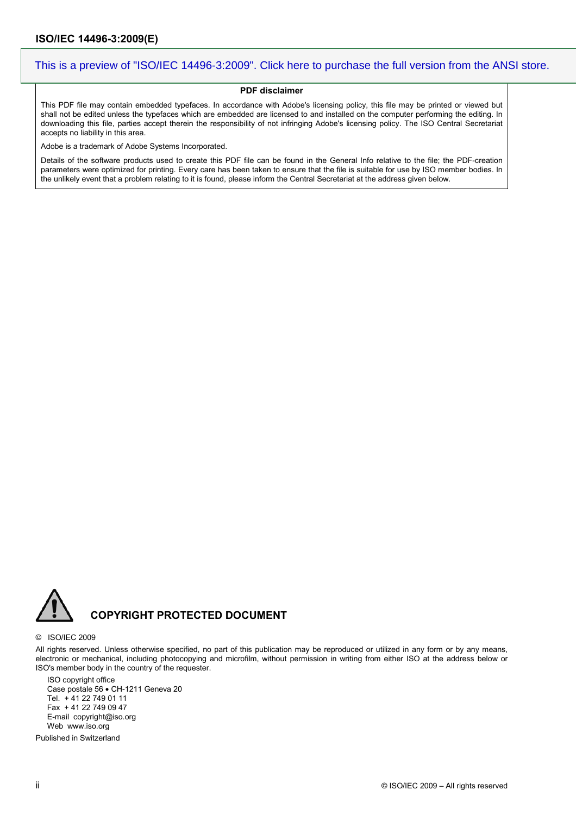#### **PDF disclaimer**

This PDF file may contain embedded typefaces. In accordance with Adobe's licensing policy, this file may be printed or viewed but shall not be edited unless the typefaces which are embedded are licensed to and installed on the computer performing the editing. In downloading this file, parties accept therein the responsibility of not infringing Adobe's licensing policy. The ISO Central Secretariat accepts no liability in this area.

Adobe is a trademark of Adobe Systems Incorporated.

Details of the software products used to create this PDF file can be found in the General Info relative to the file; the PDF-creation parameters were optimized for printing. Every care has been taken to ensure that the file is suitable for use by ISO member bodies. In the unlikely event that a problem relating to it is found, please inform the Central Secretariat at the address given below.



#### © ISO/IEC 2009

All rights reserved. Unless otherwise specified, no part of this publication may be reproduced or utilized in any form or by any means, electronic or mechanical, including photocopying and microfilm, without permission in writing from either ISO at the address below or ISO's member body in the country of the requester.

ISO copyright office Case postale 56 • CH-1211 Geneva 20 Tel. + 41 22 749 01 11 Fax + 41 22 749 09 47 E-mail copyright@iso.org Web www.iso.org

Published in Switzerland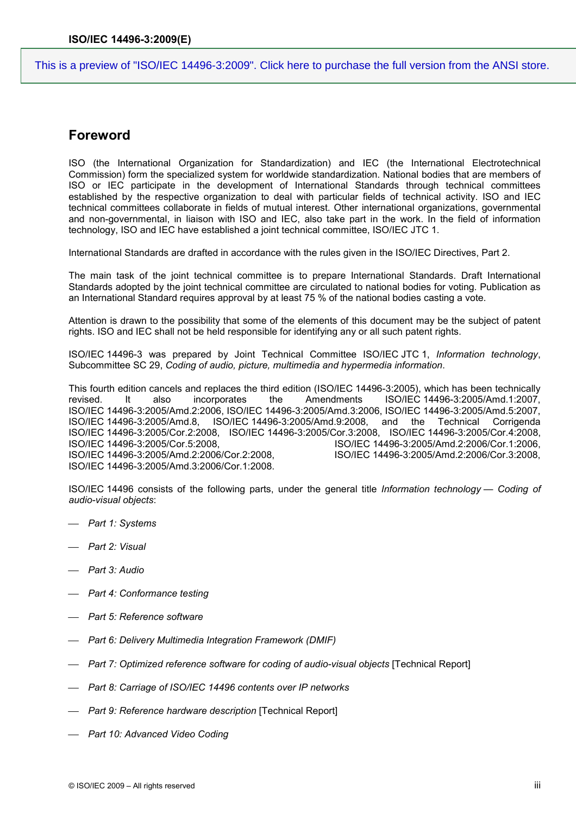## **Foreword**

ISO (the International Organization for Standardization) and IEC (the International Electrotechnical Commission) form the specialized system for worldwide standardization. National bodies that are members of ISO or IEC participate in the development of International Standards through technical committees established by the respective organization to deal with particular fields of technical activity. ISO and IEC technical committees collaborate in fields of mutual interest. Other international organizations, governmental and non-governmental, in liaison with ISO and IEC, also take part in the work. In the field of information technology, ISO and IEC have established a joint technical committee, ISO/IEC JTC 1.

International Standards are drafted in accordance with the rules given in the ISO/IEC Directives, Part 2.

The main task of the joint technical committee is to prepare International Standards. Draft International Standards adopted by the joint technical committee are circulated to national bodies for voting. Publication as an International Standard requires approval by at least 75 % of the national bodies casting a vote.

Attention is drawn to the possibility that some of the elements of this document may be the subject of patent rights. ISO and IEC shall not be held responsible for identifying any or all such patent rights.

ISO/IEC 14496-3 was prepared by Joint Technical Committee ISO/IEC JTC 1, *Information technology*, Subcommittee SC 29, *Coding of audio, picture, multimedia and hypermedia information*.

This fourth edition cancels and replaces the third edition (ISO/IEC 14496-3:2005), which has been technically revised. It also incorporates the Amendments ISO/IEC 14496-3:2005/Amd.1:2007, ISO/IEC 14496-3:2005/Amd.2:2006, ISO/IEC 14496-3:2005/Amd.3:2006, ISO/IEC 14496-3:2005/Amd.5:2007, ISO/IEC 14496-3:2005/Amd.8, ISO/IEC 14496-3:2005/Amd.9:2008, and the Technical Corrigenda ISO/IEC 14496-3:2005/Cor.2:2008, ISO/IEC 14496-3:2005/Cor.3:2008, ISO/IEC 14496-3:2005/Cor.4:2008, ISO/IEC 14496-3:2005/Cor.5:2008, ISO/IEC 14496-3:2005/Amd.2:2006/Cor.1:2006, ISO/IEC 14496-3:2005/Amd.2:2006/Cor.2:2008, ISO/IEC 14496-3:2005/Amd.2:2006/Cor.3:2008, ISO/IEC 14496-3:2005/Amd.3:2006/Cor.1:2008.

ISO/IEC 14496 consists of the following parts, under the general title *Information technology — Coding of audio-visual objects*:

- ⎯ *Part 1: Systems*
- ⎯ *Part 2: Visual*
- ⎯ *Part 3: Audio*
- ⎯ *Part 4: Conformance testing*
- ⎯ *Part 5: Reference software*
- **Part 6: Delivery Multimedia Integration Framework (DMIF)**
- <sup>2</sup> *Part 7: Optimized reference software for coding of audio-visual objects* [Technical Report]
- ⎯ *Part 8: Carriage of ISO/IEC 14496 contents over IP networks*
- ⎯ *Part 9: Reference hardware description* [Technical Report]
- ⎯ *Part 10: Advanced Video Coding*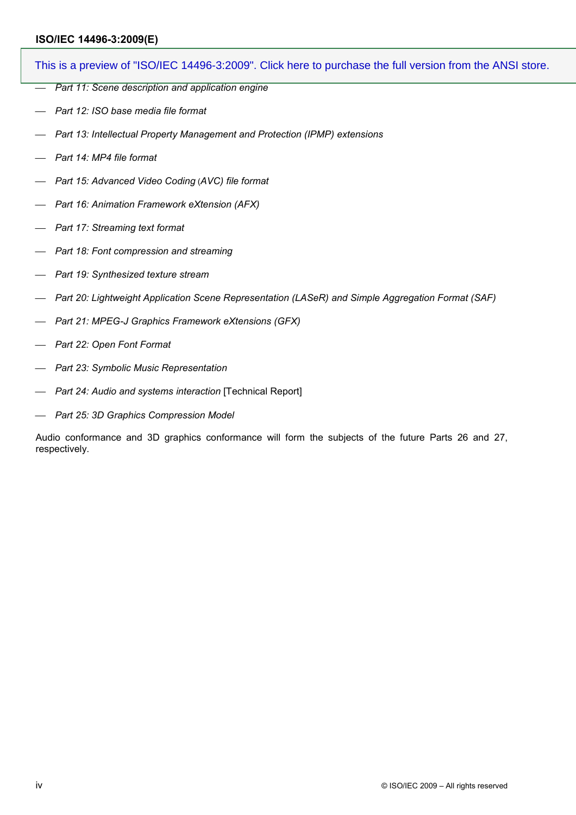## **ISO/IEC 14496-3:2009(E)**

- [This is a preview of "ISO/IEC 14496-3:2009". Click here to purchase the full version from the ANSI store.](https://webstore.ansi.org/Standards/ISO/ISOIEC144962009?source=preview)
- ⎯ *Part 11: Scene description and application engine*
- ⎯ *Part 12: ISO base media file format*
- ⎯ *Part 13: Intellectual Property Management and Protection (IPMP) extensions*
- ⎯ *Part 14: MP4 file format*
- ⎯ *Part 15: Advanced Video Coding* (*AVC) file format*
- ⎯ *Part 16: Animation Framework eXtension (AFX)*
- ⎯ *Part 17: Streaming text format*
- ⎯ *Part 18: Font compression and streaming*
- ⎯ *Part 19: Synthesized texture stream*
- ⎯ *Part 20: Lightweight Application Scene Representation (LASeR) and Simple Aggregation Format (SAF)*
- ⎯ *Part 21: MPEG-J Graphics Framework eXtensions (GFX)*
- ⎯ *Part 22: Open Font Format*
- ⎯ *Part 23: Symbolic Music Representation*
- ⎯ *Part 24: Audio and systems interaction* [Technical Report]
- ⎯ *Part 25: 3D Graphics Compression Model*

Audio conformance and 3D graphics conformance will form the subjects of the future Parts 26 and 27, respectively.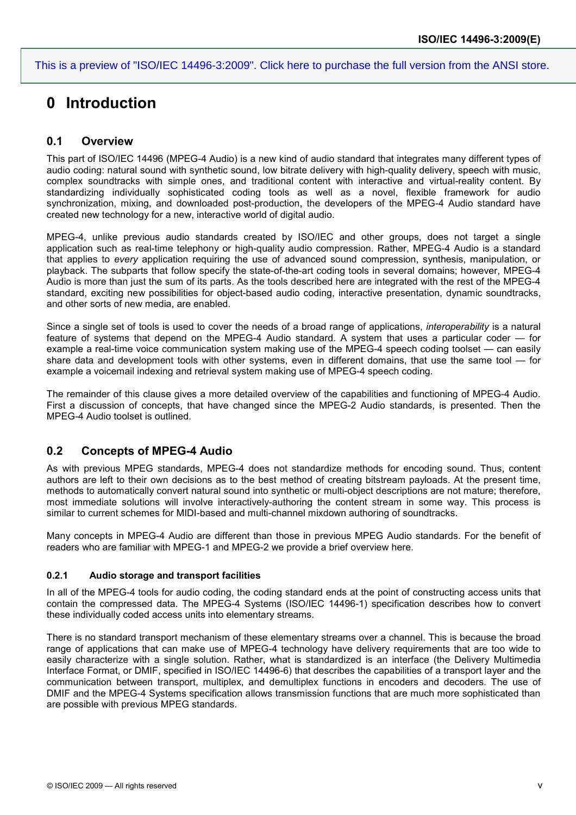# **0 Introduction**

## **0.1 Overview**

This part of ISO/IEC 14496 (MPEG-4 Audio) is a new kind of audio standard that integrates many different types of audio coding: natural sound with synthetic sound, low bitrate delivery with high-quality delivery, speech with music, complex soundtracks with simple ones, and traditional content with interactive and virtual-reality content. By standardizing individually sophisticated coding tools as well as a novel, flexible framework for audio synchronization, mixing, and downloaded post-production, the developers of the MPEG-4 Audio standard have created new technology for a new, interactive world of digital audio.

MPEG-4, unlike previous audio standards created by ISO/IEC and other groups, does not target a single application such as real-time telephony or high-quality audio compression. Rather, MPEG-4 Audio is a standard that applies to *every* application requiring the use of advanced sound compression, synthesis, manipulation, or playback. The subparts that follow specify the state-of-the-art coding tools in several domains; however, MPEG-4 Audio is more than just the sum of its parts. As the tools described here are integrated with the rest of the MPEG-4 standard, exciting new possibilities for object-based audio coding, interactive presentation, dynamic soundtracks, and other sorts of new media, are enabled.

Since a single set of tools is used to cover the needs of a broad range of applications, *interoperability* is a natural feature of systems that depend on the MPEG-4 Audio standard. A system that uses a particular coder — for example a real-time voice communication system making use of the MPEG-4 speech coding toolset — can easily share data and development tools with other systems, even in different domains, that use the same tool — for example a voicemail indexing and retrieval system making use of MPEG-4 speech coding.

The remainder of this clause gives a more detailed overview of the capabilities and functioning of MPEG-4 Audio. First a discussion of concepts, that have changed since the MPEG-2 Audio standards, is presented. Then the MPEG-4 Audio toolset is outlined.

## **0.2 Concepts of MPEG-4 Audio**

As with previous MPEG standards, MPEG-4 does not standardize methods for encoding sound. Thus, content authors are left to their own decisions as to the best method of creating bitstream payloads. At the present time, methods to automatically convert natural sound into synthetic or multi-object descriptions are not mature; therefore, most immediate solutions will involve interactively-authoring the content stream in some way. This process is similar to current schemes for MIDI-based and multi-channel mixdown authoring of soundtracks.

Many concepts in MPEG-4 Audio are different than those in previous MPEG Audio standards. For the benefit of readers who are familiar with MPEG-1 and MPEG-2 we provide a brief overview here.

## **0.2.1 Audio storage and transport facilities**

In all of the MPEG-4 tools for audio coding, the coding standard ends at the point of constructing access units that contain the compressed data. The MPEG-4 Systems (ISO/IEC 14496-1) specification describes how to convert these individually coded access units into elementary streams.

There is no standard transport mechanism of these elementary streams over a channel. This is because the broad range of applications that can make use of MPEG-4 technology have delivery requirements that are too wide to easily characterize with a single solution. Rather, what is standardized is an interface (the Delivery Multimedia Interface Format, or DMIF, specified in ISO/IEC 14496-6) that describes the capabilities of a transport layer and the communication between transport, multiplex, and demultiplex functions in encoders and decoders. The use of DMIF and the MPEG-4 Systems specification allows transmission functions that are much more sophisticated than are possible with previous MPEG standards.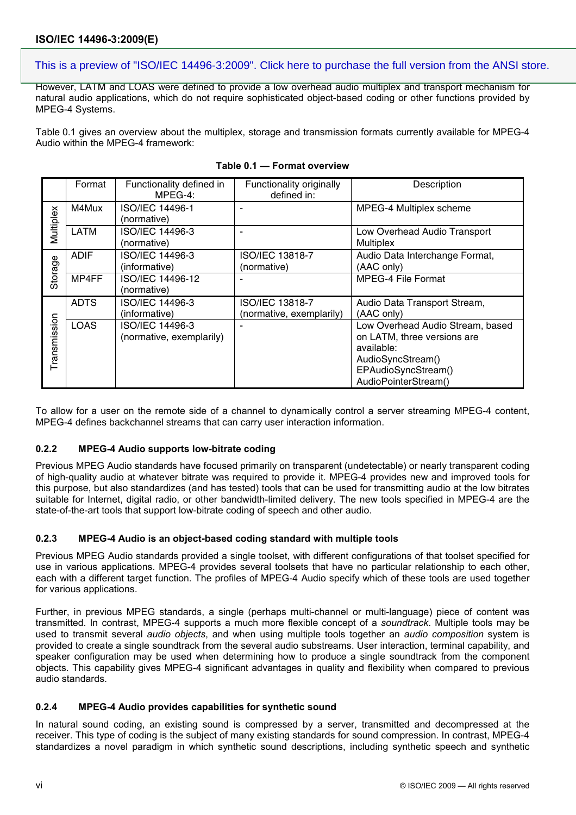However, LATM and LOAS were defined to provide a low overhead audio multiplex and transport mechanism for natural audio applications, which do not require sophisticated object-based coding or other functions provided by MPEG-4 Systems.

Table 0.1 gives an overview about the multiplex, storage and transmission formats currently available for MPEG-4 Audio within the MPEG-4 framework:

|              | Format      | Functionality defined in<br>$MPEG-4$ :      | Functionality originally<br>defined in:     | Description                                                                                                                                       |
|--------------|-------------|---------------------------------------------|---------------------------------------------|---------------------------------------------------------------------------------------------------------------------------------------------------|
| Multiplex    | M4Mux       | ISO/IEC 14496-1<br>(normative)              |                                             | <b>MPEG-4 Multiplex scheme</b>                                                                                                                    |
|              | <b>LATM</b> | ISO/IEC 14496-3<br>(normative)              |                                             | Low Overhead Audio Transport<br><b>Multiplex</b>                                                                                                  |
| Storage      | <b>ADIF</b> | ISO/IEC 14496-3<br>(informative)            | ISO/IEC 13818-7<br>(normative)              | Audio Data Interchange Format,<br>(AAC only)                                                                                                      |
|              | MP4FF       | ISO/IEC 14496-12<br>(normative)             |                                             | <b>MPEG-4 File Format</b>                                                                                                                         |
| Transmission | <b>ADTS</b> | ISO/IEC 14496-3<br>(informative)            | ISO/IEC 13818-7<br>(normative, exemplarily) | Audio Data Transport Stream,<br>(AAC only)                                                                                                        |
|              | <b>LOAS</b> | ISO/IEC 14496-3<br>(normative, exemplarily) |                                             | Low Overhead Audio Stream, based<br>on LATM, three versions are<br>available:<br>AudioSyncStream()<br>EPAudioSyncStream()<br>AudioPointerStream() |

#### **Table 0.1 — Format overview**

To allow for a user on the remote side of a channel to dynamically control a server streaming MPEG-4 content, MPEG-4 defines backchannel streams that can carry user interaction information.

#### **0.2.2 MPEG-4 Audio supports low-bitrate coding**

Previous MPEG Audio standards have focused primarily on transparent (undetectable) or nearly transparent coding of high-quality audio at whatever bitrate was required to provide it. MPEG-4 provides new and improved tools for this purpose, but also standardizes (and has tested) tools that can be used for transmitting audio at the low bitrates suitable for Internet, digital radio, or other bandwidth-limited delivery. The new tools specified in MPEG-4 are the state-of-the-art tools that support low-bitrate coding of speech and other audio.

## **0.2.3 MPEG-4 Audio is an object-based coding standard with multiple tools**

Previous MPEG Audio standards provided a single toolset, with different configurations of that toolset specified for use in various applications. MPEG-4 provides several toolsets that have no particular relationship to each other, each with a different target function. The profiles of MPEG-4 Audio specify which of these tools are used together for various applications.

Further, in previous MPEG standards, a single (perhaps multi-channel or multi-language) piece of content was transmitted. In contrast, MPEG-4 supports a much more flexible concept of a *soundtrack*. Multiple tools may be used to transmit several *audio objects*, and when using multiple tools together an *audio composition* system is provided to create a single soundtrack from the several audio substreams. User interaction, terminal capability, and speaker configuration may be used when determining how to produce a single soundtrack from the component objects. This capability gives MPEG-4 significant advantages in quality and flexibility when compared to previous audio standards.

#### **0.2.4 MPEG-4 Audio provides capabilities for synthetic sound**

In natural sound coding, an existing sound is compressed by a server, transmitted and decompressed at the receiver. This type of coding is the subject of many existing standards for sound compression. In contrast, MPEG-4 standardizes a novel paradigm in which synthetic sound descriptions, including synthetic speech and synthetic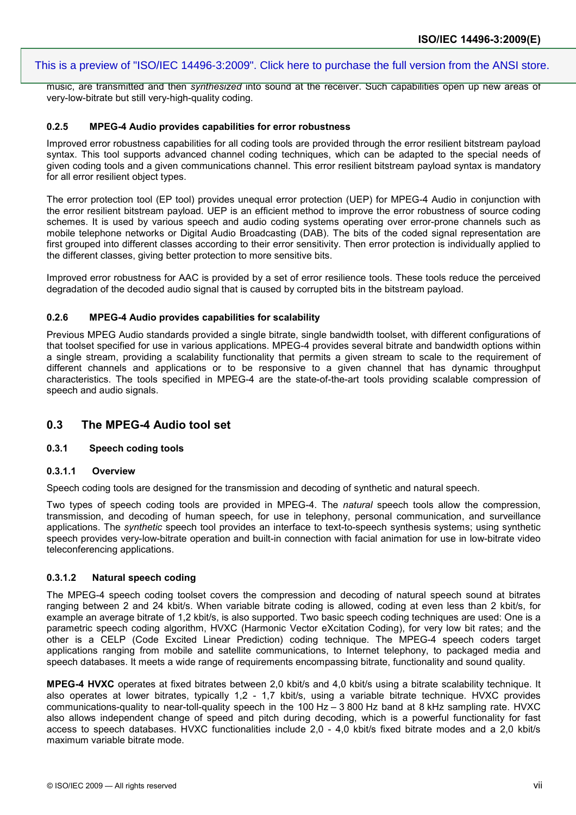music, are transmitted and then *synthesized* into sound at the receiver. Such capabilities open up new areas of very-low-bitrate but still very-high-quality coding.

#### **0.2.5 MPEG-4 Audio provides capabilities for error robustness**

Improved error robustness capabilities for all coding tools are provided through the error resilient bitstream payload syntax. This tool supports advanced channel coding techniques, which can be adapted to the special needs of given coding tools and a given communications channel. This error resilient bitstream payload syntax is mandatory for all error resilient object types.

The error protection tool (EP tool) provides unequal error protection (UEP) for MPEG-4 Audio in conjunction with the error resilient bitstream payload. UEP is an efficient method to improve the error robustness of source coding schemes. It is used by various speech and audio coding systems operating over error-prone channels such as mobile telephone networks or Digital Audio Broadcasting (DAB). The bits of the coded signal representation are first grouped into different classes according to their error sensitivity. Then error protection is individually applied to the different classes, giving better protection to more sensitive bits.

Improved error robustness for AAC is provided by a set of error resilience tools. These tools reduce the perceived degradation of the decoded audio signal that is caused by corrupted bits in the bitstream payload.

#### **0.2.6 MPEG-4 Audio provides capabilities for scalability**

Previous MPEG Audio standards provided a single bitrate, single bandwidth toolset, with different configurations of that toolset specified for use in various applications. MPEG-4 provides several bitrate and bandwidth options within a single stream, providing a scalability functionality that permits a given stream to scale to the requirement of different channels and applications or to be responsive to a given channel that has dynamic throughput characteristics. The tools specified in MPEG-4 are the state-of-the-art tools providing scalable compression of speech and audio signals.

## **0.3 The MPEG-4 Audio tool set**

#### **0.3.1 Speech coding tools**

#### **0.3.1.1 Overview**

Speech coding tools are designed for the transmission and decoding of synthetic and natural speech.

Two types of speech coding tools are provided in MPEG-4. The *natural* speech tools allow the compression, transmission, and decoding of human speech, for use in telephony, personal communication, and surveillance applications. The *synthetic* speech tool provides an interface to text-to-speech synthesis systems; using synthetic speech provides very-low-bitrate operation and built-in connection with facial animation for use in low-bitrate video teleconferencing applications.

#### **0.3.1.2 Natural speech coding**

The MPEG-4 speech coding toolset covers the compression and decoding of natural speech sound at bitrates ranging between 2 and 24 kbit/s. When variable bitrate coding is allowed, coding at even less than 2 kbit/s, for example an average bitrate of 1,2 kbit/s, is also supported. Two basic speech coding techniques are used: One is a parametric speech coding algorithm, HVXC (Harmonic Vector eXcitation Coding), for very low bit rates; and the other is a CELP (Code Excited Linear Prediction) coding technique. The MPEG-4 speech coders target applications ranging from mobile and satellite communications, to Internet telephony, to packaged media and speech databases. It meets a wide range of requirements encompassing bitrate, functionality and sound quality.

**MPEG-4 HVXC** operates at fixed bitrates between 2,0 kbit/s and 4,0 kbit/s using a bitrate scalability technique. It also operates at lower bitrates, typically 1,2 - 1,7 kbit/s, using a variable bitrate technique. HVXC provides communications-quality to near-toll-quality speech in the 100 Hz – 3 800 Hz band at 8 kHz sampling rate. HVXC also allows independent change of speed and pitch during decoding, which is a powerful functionality for fast access to speech databases. HVXC functionalities include 2,0 - 4,0 kbit/s fixed bitrate modes and a 2,0 kbit/s maximum variable bitrate mode.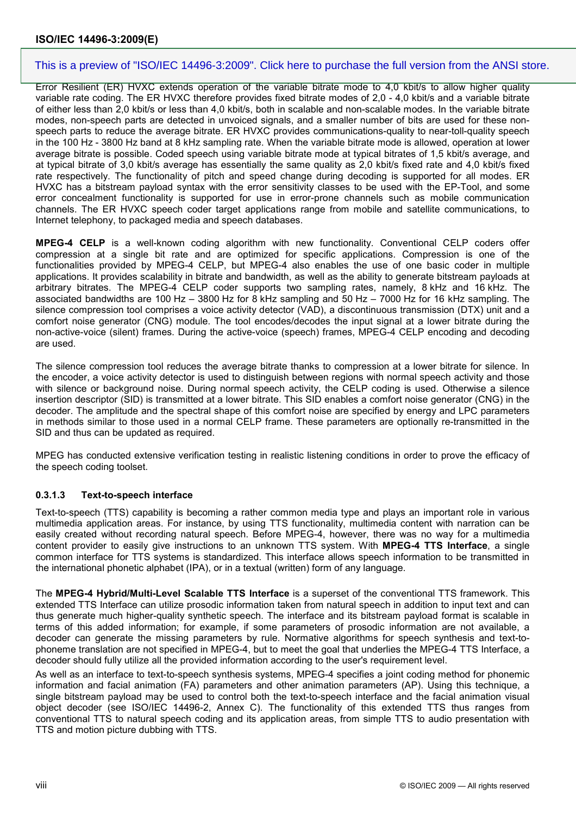Error Resilient (ER) HVXC extends operation of the variable bitrate mode to 4,0 kbit/s to allow higher quality variable rate coding. The ER HVXC therefore provides fixed bitrate modes of 2,0 - 4,0 kbit/s and a variable bitrate of either less than 2,0 kbit/s or less than 4,0 kbit/s, both in scalable and non-scalable modes. In the variable bitrate modes, non-speech parts are detected in unvoiced signals, and a smaller number of bits are used for these nonspeech parts to reduce the average bitrate. ER HVXC provides communications-quality to near-toll-quality speech in the 100 Hz - 3800 Hz band at 8 kHz sampling rate. When the variable bitrate mode is allowed, operation at lower average bitrate is possible. Coded speech using variable bitrate mode at typical bitrates of 1,5 kbit/s average, and at typical bitrate of 3,0 kbit/s average has essentially the same quality as 2,0 kbit/s fixed rate and 4,0 kbit/s fixed rate respectively. The functionality of pitch and speed change during decoding is supported for all modes. ER HVXC has a bitstream payload syntax with the error sensitivity classes to be used with the EP-Tool, and some error concealment functionality is supported for use in error-prone channels such as mobile communication channels. The ER HVXC speech coder target applications range from mobile and satellite communications, to Internet telephony, to packaged media and speech databases.

**MPEG-4 CELP** is a well-known coding algorithm with new functionality. Conventional CELP coders offer compression at a single bit rate and are optimized for specific applications. Compression is one of the functionalities provided by MPEG-4 CELP, but MPEG-4 also enables the use of one basic coder in multiple applications. It provides scalability in bitrate and bandwidth, as well as the ability to generate bitstream payloads at arbitrary bitrates. The MPEG-4 CELP coder supports two sampling rates, namely, 8 kHz and 16 kHz. The associated bandwidths are 100 Hz – 3800 Hz for 8 kHz sampling and 50 Hz – 7000 Hz for 16 kHz sampling. The silence compression tool comprises a voice activity detector (VAD), a discontinuous transmission (DTX) unit and a comfort noise generator (CNG) module. The tool encodes/decodes the input signal at a lower bitrate during the non-active-voice (silent) frames. During the active-voice (speech) frames, MPEG-4 CELP encoding and decoding are used.

The silence compression tool reduces the average bitrate thanks to compression at a lower bitrate for silence. In the encoder, a voice activity detector is used to distinguish between regions with normal speech activity and those with silence or background noise. During normal speech activity, the CELP coding is used. Otherwise a silence insertion descriptor (SID) is transmitted at a lower bitrate. This SID enables a comfort noise generator (CNG) in the decoder. The amplitude and the spectral shape of this comfort noise are specified by energy and LPC parameters in methods similar to those used in a normal CELP frame. These parameters are optionally re-transmitted in the SID and thus can be updated as required.

MPEG has conducted extensive verification testing in realistic listening conditions in order to prove the efficacy of the speech coding toolset.

## **0.3.1.3 Text-to-speech interface**

Text-to-speech (TTS) capability is becoming a rather common media type and plays an important role in various multimedia application areas. For instance, by using TTS functionality, multimedia content with narration can be easily created without recording natural speech. Before MPEG-4, however, there was no way for a multimedia content provider to easily give instructions to an unknown TTS system. With **MPEG-4 TTS Interface**, a single common interface for TTS systems is standardized. This interface allows speech information to be transmitted in the international phonetic alphabet (IPA), or in a textual (written) form of any language.

The **MPEG-4 Hybrid/Multi-Level Scalable TTS Interface** is a superset of the conventional TTS framework. This extended TTS Interface can utilize prosodic information taken from natural speech in addition to input text and can thus generate much higher-quality synthetic speech. The interface and its bitstream payload format is scalable in terms of this added information; for example, if some parameters of prosodic information are not available, a decoder can generate the missing parameters by rule. Normative algorithms for speech synthesis and text-tophoneme translation are not specified in MPEG-4, but to meet the goal that underlies the MPEG-4 TTS Interface, a decoder should fully utilize all the provided information according to the user's requirement level.

As well as an interface to text-to-speech synthesis systems, MPEG-4 specifies a joint coding method for phonemic information and facial animation (FA) parameters and other animation parameters (AP). Using this technique, a single bitstream payload may be used to control both the text-to-speech interface and the facial animation visual object decoder (see ISO/IEC 14496-2, Annex C). The functionality of this extended TTS thus ranges from conventional TTS to natural speech coding and its application areas, from simple TTS to audio presentation with TTS and motion picture dubbing with TTS.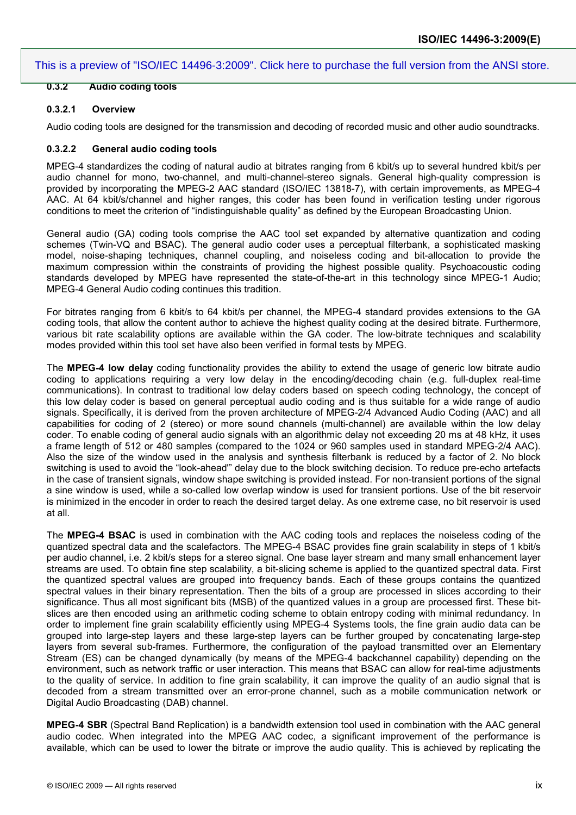#### **0.3.2 Audio coding tools**

#### **0.3.2.1 Overview**

Audio coding tools are designed for the transmission and decoding of recorded music and other audio soundtracks.

#### **0.3.2.2 General audio coding tools**

MPEG-4 standardizes the coding of natural audio at bitrates ranging from 6 kbit/s up to several hundred kbit/s per audio channel for mono, two-channel, and multi-channel-stereo signals. General high-quality compression is provided by incorporating the MPEG-2 AAC standard (ISO/IEC 13818-7), with certain improvements, as MPEG-4 AAC. At 64 kbit/s/channel and higher ranges, this coder has been found in verification testing under rigorous conditions to meet the criterion of "indistinguishable quality" as defined by the European Broadcasting Union.

General audio (GA) coding tools comprise the AAC tool set expanded by alternative quantization and coding schemes (Twin-VQ and BSAC). The general audio coder uses a perceptual filterbank, a sophisticated masking model, noise-shaping techniques, channel coupling, and noiseless coding and bit-allocation to provide the maximum compression within the constraints of providing the highest possible quality. Psychoacoustic coding standards developed by MPEG have represented the state-of-the-art in this technology since MPEG-1 Audio; MPEG-4 General Audio coding continues this tradition.

For bitrates ranging from 6 kbit/s to 64 kbit/s per channel, the MPEG-4 standard provides extensions to the GA coding tools, that allow the content author to achieve the highest quality coding at the desired bitrate. Furthermore, various bit rate scalability options are available within the GA coder. The low-bitrate techniques and scalability modes provided within this tool set have also been verified in formal tests by MPEG.

The **MPEG-4 low delay** coding functionality provides the ability to extend the usage of generic low bitrate audio coding to applications requiring a very low delay in the encoding/decoding chain (e.g. full-duplex real-time communications). In contrast to traditional low delay coders based on speech coding technology, the concept of this low delay coder is based on general perceptual audio coding and is thus suitable for a wide range of audio signals. Specifically, it is derived from the proven architecture of MPEG-2/4 Advanced Audio Coding (AAC) and all capabilities for coding of 2 (stereo) or more sound channels (multi-channel) are available within the low delay coder. To enable coding of general audio signals with an algorithmic delay not exceeding 20 ms at 48 kHz, it uses a frame length of 512 or 480 samples (compared to the 1024 or 960 samples used in standard MPEG-2/4 AAC). Also the size of the window used in the analysis and synthesis filterbank is reduced by a factor of 2. No block switching is used to avoid the "look-ahead'" delay due to the block switching decision. To reduce pre-echo artefacts in the case of transient signals, window shape switching is provided instead. For non-transient portions of the signal a sine window is used, while a so-called low overlap window is used for transient portions. Use of the bit reservoir is minimized in the encoder in order to reach the desired target delay. As one extreme case, no bit reservoir is used at all.

The **MPEG-4 BSAC** is used in combination with the AAC coding tools and replaces the noiseless coding of the quantized spectral data and the scalefactors. The MPEG-4 BSAC provides fine grain scalability in steps of 1 kbit/s per audio channel, i.e. 2 kbit/s steps for a stereo signal. One base layer stream and many small enhancement layer streams are used. To obtain fine step scalability, a bit-slicing scheme is applied to the quantized spectral data. First the quantized spectral values are grouped into frequency bands. Each of these groups contains the quantized spectral values in their binary representation. Then the bits of a group are processed in slices according to their significance. Thus all most significant bits (MSB) of the quantized values in a group are processed first. These bitslices are then encoded using an arithmetic coding scheme to obtain entropy coding with minimal redundancy. In order to implement fine grain scalability efficiently using MPEG-4 Systems tools, the fine grain audio data can be grouped into large-step layers and these large-step layers can be further grouped by concatenating large-step layers from several sub-frames. Furthermore, the configuration of the payload transmitted over an Elementary Stream (ES) can be changed dynamically (by means of the MPEG-4 backchannel capability) depending on the environment, such as network traffic or user interaction. This means that BSAC can allow for real-time adjustments to the quality of service. In addition to fine grain scalability, it can improve the quality of an audio signal that is decoded from a stream transmitted over an error-prone channel, such as a mobile communication network or Digital Audio Broadcasting (DAB) channel.

**MPEG-4 SBR** (Spectral Band Replication) is a bandwidth extension tool used in combination with the AAC general audio codec. When integrated into the MPEG AAC codec, a significant improvement of the performance is available, which can be used to lower the bitrate or improve the audio quality. This is achieved by replicating the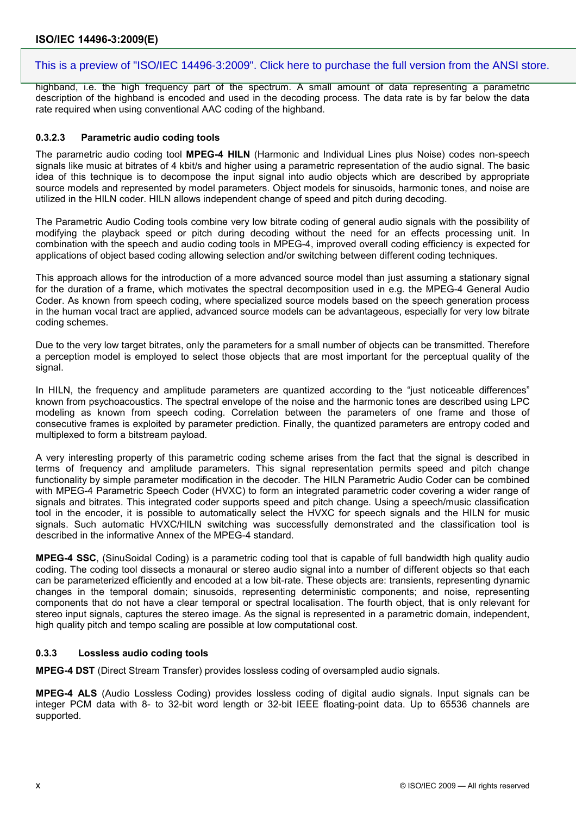highband, i.e. the high frequency part of the spectrum. A small amount of data representing a parametric description of the highband is encoded and used in the decoding process. The data rate is by far below the data rate required when using conventional AAC coding of the highband.

#### **0.3.2.3 Parametric audio coding tools**

The parametric audio coding tool **MPEG-4 HILN** (Harmonic and Individual Lines plus Noise) codes non-speech signals like music at bitrates of 4 kbit/s and higher using a parametric representation of the audio signal. The basic idea of this technique is to decompose the input signal into audio objects which are described by appropriate source models and represented by model parameters. Object models for sinusoids, harmonic tones, and noise are utilized in the HILN coder. HILN allows independent change of speed and pitch during decoding.

The Parametric Audio Coding tools combine very low bitrate coding of general audio signals with the possibility of modifying the playback speed or pitch during decoding without the need for an effects processing unit. In combination with the speech and audio coding tools in MPEG-4, improved overall coding efficiency is expected for applications of object based coding allowing selection and/or switching between different coding techniques.

This approach allows for the introduction of a more advanced source model than just assuming a stationary signal for the duration of a frame, which motivates the spectral decomposition used in e.g. the MPEG-4 General Audio Coder. As known from speech coding, where specialized source models based on the speech generation process in the human vocal tract are applied, advanced source models can be advantageous, especially for very low bitrate coding schemes.

Due to the very low target bitrates, only the parameters for a small number of objects can be transmitted. Therefore a perception model is employed to select those objects that are most important for the perceptual quality of the signal.

In HILN, the frequency and amplitude parameters are quantized according to the "just noticeable differences" known from psychoacoustics. The spectral envelope of the noise and the harmonic tones are described using LPC modeling as known from speech coding. Correlation between the parameters of one frame and those of consecutive frames is exploited by parameter prediction. Finally, the quantized parameters are entropy coded and multiplexed to form a bitstream payload.

A very interesting property of this parametric coding scheme arises from the fact that the signal is described in terms of frequency and amplitude parameters. This signal representation permits speed and pitch change functionality by simple parameter modification in the decoder. The HILN Parametric Audio Coder can be combined with MPEG-4 Parametric Speech Coder (HVXC) to form an integrated parametric coder covering a wider range of signals and bitrates. This integrated coder supports speed and pitch change. Using a speech/music classification tool in the encoder, it is possible to automatically select the HVXC for speech signals and the HILN for music signals. Such automatic HVXC/HILN switching was successfully demonstrated and the classification tool is described in the informative Annex of the MPEG-4 standard.

**MPEG-4 SSC**, (SinuSoidal Coding) is a parametric coding tool that is capable of full bandwidth high quality audio coding. The coding tool dissects a monaural or stereo audio signal into a number of different objects so that each can be parameterized efficiently and encoded at a low bit-rate. These objects are: transients, representing dynamic changes in the temporal domain; sinusoids, representing deterministic components; and noise, representing components that do not have a clear temporal or spectral localisation. The fourth object, that is only relevant for stereo input signals, captures the stereo image. As the signal is represented in a parametric domain, independent, high quality pitch and tempo scaling are possible at low computational cost.

## **0.3.3 Lossless audio coding tools**

**MPEG-4 DST** (Direct Stream Transfer) provides lossless coding of oversampled audio signals.

**MPEG-4 ALS** (Audio Lossless Coding) provides lossless coding of digital audio signals. Input signals can be integer PCM data with 8- to 32-bit word length or 32-bit IEEE floating-point data. Up to 65536 channels are supported.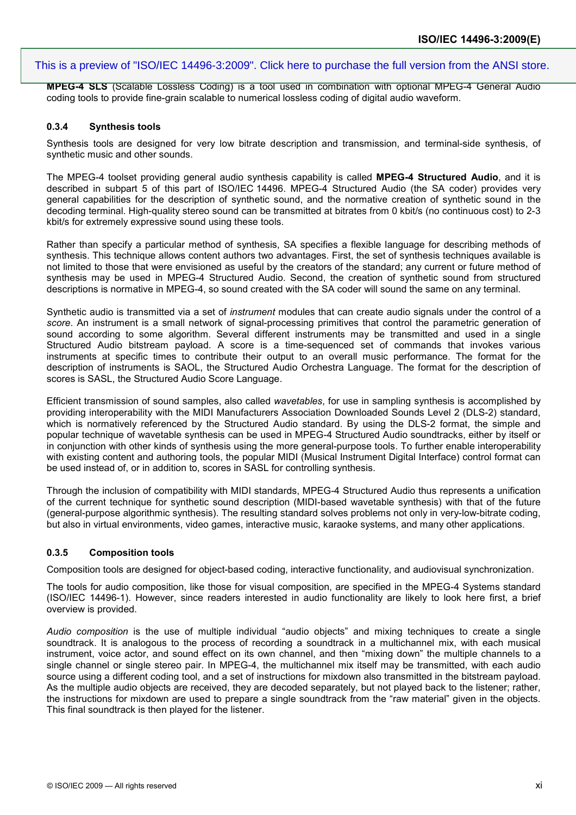**MPEG-4 SLS** (Scalable Lossless Coding) is a tool used in combination with optional MPEG-4 General Audio coding tools to provide fine-grain scalable to numerical lossless coding of digital audio waveform.

#### **0.3.4 Synthesis tools**

Synthesis tools are designed for very low bitrate description and transmission, and terminal-side synthesis, of synthetic music and other sounds.

The MPEG-4 toolset providing general audio synthesis capability is called **MPEG-4 Structured Audio**, and it is described in subpart 5 of this part of ISO/IEC 14496. MPEG-4 Structured Audio (the SA coder) provides very general capabilities for the description of synthetic sound, and the normative creation of synthetic sound in the decoding terminal. High-quality stereo sound can be transmitted at bitrates from 0 kbit/s (no continuous cost) to 2-3 kbit/s for extremely expressive sound using these tools.

Rather than specify a particular method of synthesis, SA specifies a flexible language for describing methods of synthesis. This technique allows content authors two advantages. First, the set of synthesis techniques available is not limited to those that were envisioned as useful by the creators of the standard; any current or future method of synthesis may be used in MPEG-4 Structured Audio. Second, the creation of synthetic sound from structured descriptions is normative in MPEG-4, so sound created with the SA coder will sound the same on any terminal.

Synthetic audio is transmitted via a set of *instrument* modules that can create audio signals under the control of a *score*. An instrument is a small network of signal-processing primitives that control the parametric generation of sound according to some algorithm. Several different instruments may be transmitted and used in a single Structured Audio bitstream payload. A score is a time-sequenced set of commands that invokes various instruments at specific times to contribute their output to an overall music performance. The format for the description of instruments is SAOL, the Structured Audio Orchestra Language. The format for the description of scores is SASL, the Structured Audio Score Language.

Efficient transmission of sound samples, also called *wavetables*, for use in sampling synthesis is accomplished by providing interoperability with the MIDI Manufacturers Association Downloaded Sounds Level 2 (DLS-2) standard, which is normatively referenced by the Structured Audio standard. By using the DLS-2 format, the simple and popular technique of wavetable synthesis can be used in MPEG-4 Structured Audio soundtracks, either by itself or in conjunction with other kinds of synthesis using the more general-purpose tools. To further enable interoperability with existing content and authoring tools, the popular MIDI (Musical Instrument Digital Interface) control format can be used instead of, or in addition to, scores in SASL for controlling synthesis.

Through the inclusion of compatibility with MIDI standards, MPEG-4 Structured Audio thus represents a unification of the current technique for synthetic sound description (MIDI-based wavetable synthesis) with that of the future (general-purpose algorithmic synthesis). The resulting standard solves problems not only in very-low-bitrate coding, but also in virtual environments, video games, interactive music, karaoke systems, and many other applications.

#### **0.3.5 Composition tools**

Composition tools are designed for object-based coding, interactive functionality, and audiovisual synchronization.

The tools for audio composition, like those for visual composition, are specified in the MPEG-4 Systems standard (ISO/IEC 14496-1). However, since readers interested in audio functionality are likely to look here first, a brief overview is provided.

*Audio composition* is the use of multiple individual "audio objects" and mixing techniques to create a single soundtrack. It is analogous to the process of recording a soundtrack in a multichannel mix, with each musical instrument, voice actor, and sound effect on its own channel, and then "mixing down" the multiple channels to a single channel or single stereo pair. In MPEG-4, the multichannel mix itself may be transmitted, with each audio source using a different coding tool, and a set of instructions for mixdown also transmitted in the bitstream payload. As the multiple audio objects are received, they are decoded separately, but not played back to the listener; rather, the instructions for mixdown are used to prepare a single soundtrack from the "raw material" given in the objects. This final soundtrack is then played for the listener.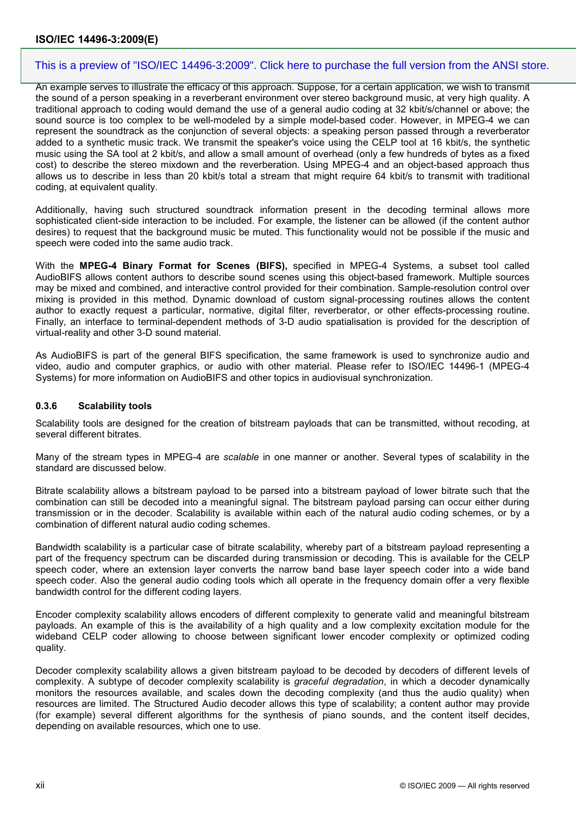An example serves to illustrate the efficacy of this approach. Suppose, for a certain application, we wish to transmit the sound of a person speaking in a reverberant environment over stereo background music, at very high quality. A traditional approach to coding would demand the use of a general audio coding at 32 kbit/s/channel or above; the sound source is too complex to be well-modeled by a simple model-based coder. However, in MPEG-4 we can represent the soundtrack as the conjunction of several objects: a speaking person passed through a reverberator added to a synthetic music track. We transmit the speaker's voice using the CELP tool at 16 kbit/s, the synthetic music using the SA tool at 2 kbit/s, and allow a small amount of overhead (only a few hundreds of bytes as a fixed cost) to describe the stereo mixdown and the reverberation. Using MPEG-4 and an object-based approach thus allows us to describe in less than 20 kbit/s total a stream that might require 64 kbit/s to transmit with traditional coding, at equivalent quality.

Additionally, having such structured soundtrack information present in the decoding terminal allows more sophisticated client-side interaction to be included. For example, the listener can be allowed (if the content author desires) to request that the background music be muted. This functionality would not be possible if the music and speech were coded into the same audio track.

With the **MPEG-4 Binary Format for Scenes (BIFS),** specified in MPEG-4 Systems, a subset tool called AudioBIFS allows content authors to describe sound scenes using this object-based framework. Multiple sources may be mixed and combined, and interactive control provided for their combination. Sample-resolution control over mixing is provided in this method. Dynamic download of custom signal-processing routines allows the content author to exactly request a particular, normative, digital filter, reverberator, or other effects-processing routine. Finally, an interface to terminal-dependent methods of 3-D audio spatialisation is provided for the description of virtual-reality and other 3-D sound material.

As AudioBIFS is part of the general BIFS specification, the same framework is used to synchronize audio and video, audio and computer graphics, or audio with other material. Please refer to ISO/IEC 14496-1 (MPEG-4 Systems) for more information on AudioBIFS and other topics in audiovisual synchronization.

#### **0.3.6 Scalability tools**

Scalability tools are designed for the creation of bitstream payloads that can be transmitted, without recoding, at several different bitrates.

Many of the stream types in MPEG-4 are *scalable* in one manner or another. Several types of scalability in the standard are discussed below.

Bitrate scalability allows a bitstream payload to be parsed into a bitstream payload of lower bitrate such that the combination can still be decoded into a meaningful signal. The bitstream payload parsing can occur either during transmission or in the decoder. Scalability is available within each of the natural audio coding schemes, or by a combination of different natural audio coding schemes.

Bandwidth scalability is a particular case of bitrate scalability, whereby part of a bitstream payload representing a part of the frequency spectrum can be discarded during transmission or decoding. This is available for the CELP speech coder, where an extension layer converts the narrow band base layer speech coder into a wide band speech coder. Also the general audio coding tools which all operate in the frequency domain offer a very flexible bandwidth control for the different coding layers.

Encoder complexity scalability allows encoders of different complexity to generate valid and meaningful bitstream payloads. An example of this is the availability of a high quality and a low complexity excitation module for the wideband CELP coder allowing to choose between significant lower encoder complexity or optimized coding quality.

Decoder complexity scalability allows a given bitstream payload to be decoded by decoders of different levels of complexity. A subtype of decoder complexity scalability is *graceful degradation*, in which a decoder dynamically monitors the resources available, and scales down the decoding complexity (and thus the audio quality) when resources are limited. The Structured Audio decoder allows this type of scalability; a content author may provide (for example) several different algorithms for the synthesis of piano sounds, and the content itself decides, depending on available resources, which one to use.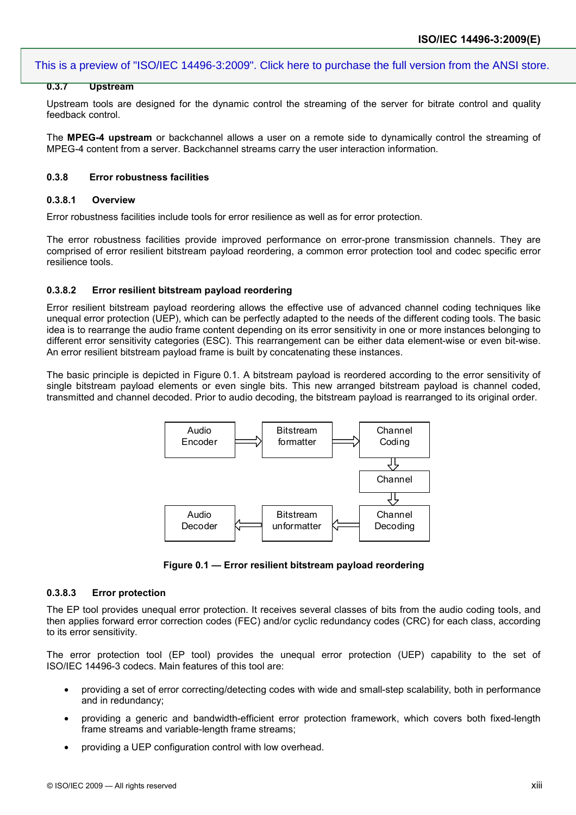#### **0.3.7 Upstream**

Upstream tools are designed for the dynamic control the streaming of the server for bitrate control and quality feedback control.

The **MPEG-4 upstream** or backchannel allows a user on a remote side to dynamically control the streaming of MPEG-4 content from a server. Backchannel streams carry the user interaction information.

#### **0.3.8 Error robustness facilities**

#### **0.3.8.1 Overview**

Error robustness facilities include tools for error resilience as well as for error protection.

The error robustness facilities provide improved performance on error-prone transmission channels. They are comprised of error resilient bitstream payload reordering, a common error protection tool and codec specific error resilience tools.

#### **0.3.8.2 Error resilient bitstream payload reordering**

Error resilient bitstream payload reordering allows the effective use of advanced channel coding techniques like unequal error protection (UEP), which can be perfectly adapted to the needs of the different coding tools. The basic idea is to rearrange the audio frame content depending on its error sensitivity in one or more instances belonging to different error sensitivity categories (ESC). This rearrangement can be either data element-wise or even bit-wise. An error resilient bitstream payload frame is built by concatenating these instances.

The basic principle is depicted in Figure 0.1. A bitstream payload is reordered according to the error sensitivity of single bitstream payload elements or even single bits. This new arranged bitstream payload is channel coded, transmitted and channel decoded. Prior to audio decoding, the bitstream payload is rearranged to its original order.



**Figure 0.1 — Error resilient bitstream payload reordering** 

#### **0.3.8.3 Error protection**

The EP tool provides unequal error protection. It receives several classes of bits from the audio coding tools, and then applies forward error correction codes (FEC) and/or cyclic redundancy codes (CRC) for each class, according to its error sensitivity.

The error protection tool (EP tool) provides the unequal error protection (UEP) capability to the set of ISO/IEC 14496-3 codecs. Main features of this tool are:

- providing a set of error correcting/detecting codes with wide and small-step scalability, both in performance and in redundancy;
- providing a generic and bandwidth-efficient error protection framework, which covers both fixed-length frame streams and variable-length frame streams;
- providing a UEP configuration control with low overhead.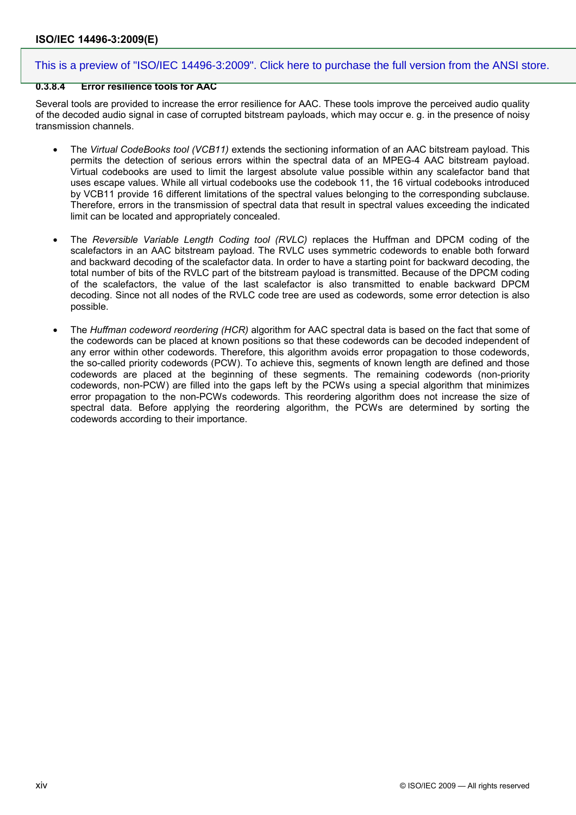#### **0.3.8.4 Error resilience tools for AAC**

Several tools are provided to increase the error resilience for AAC. These tools improve the perceived audio quality of the decoded audio signal in case of corrupted bitstream payloads, which may occur e. g. in the presence of noisy transmission channels.

- The *Virtual CodeBooks tool (VCB11)* extends the sectioning information of an AAC bitstream payload. This permits the detection of serious errors within the spectral data of an MPEG-4 AAC bitstream payload. Virtual codebooks are used to limit the largest absolute value possible within any scalefactor band that uses escape values. While all virtual codebooks use the codebook 11, the 16 virtual codebooks introduced by VCB11 provide 16 different limitations of the spectral values belonging to the corresponding subclause. Therefore, errors in the transmission of spectral data that result in spectral values exceeding the indicated limit can be located and appropriately concealed.
- The *Reversible Variable Length Coding tool (RVLC)* replaces the Huffman and DPCM coding of the scalefactors in an AAC bitstream payload. The RVLC uses symmetric codewords to enable both forward and backward decoding of the scalefactor data. In order to have a starting point for backward decoding, the total number of bits of the RVLC part of the bitstream payload is transmitted. Because of the DPCM coding of the scalefactors, the value of the last scalefactor is also transmitted to enable backward DPCM decoding. Since not all nodes of the RVLC code tree are used as codewords, some error detection is also possible.
- The *Huffman codeword reordering (HCR)* algorithm for AAC spectral data is based on the fact that some of the codewords can be placed at known positions so that these codewords can be decoded independent of any error within other codewords. Therefore, this algorithm avoids error propagation to those codewords, the so-called priority codewords (PCW). To achieve this, segments of known length are defined and those codewords are placed at the beginning of these segments. The remaining codewords (non-priority codewords, non-PCW) are filled into the gaps left by the PCWs using a special algorithm that minimizes error propagation to the non-PCWs codewords. This reordering algorithm does not increase the size of spectral data. Before applying the reordering algorithm, the PCWs are determined by sorting the codewords according to their importance.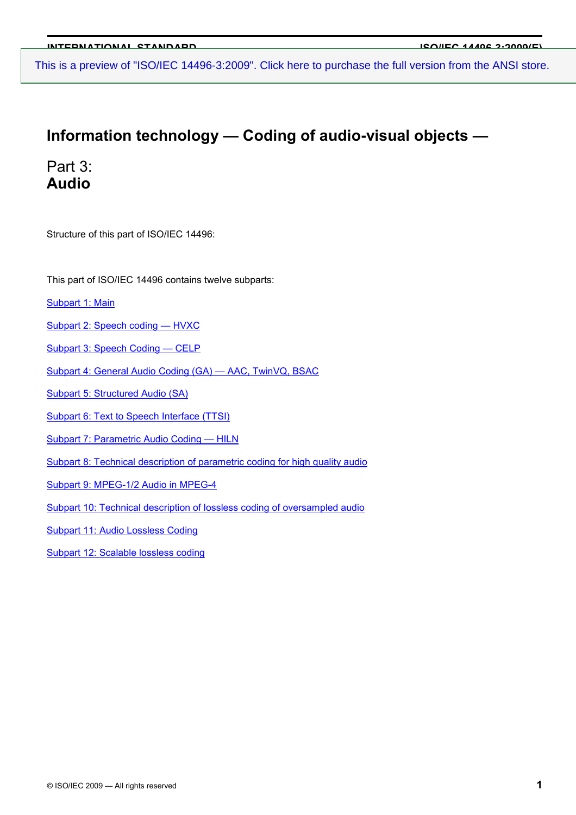# **Information technology — Coding of audio-visual objects —**

Part 3: **Audio** 

Structure of this part of ISO/IEC 14496:

This part of ISO/IEC 14496 contains twelve subparts:

[Subpart 1: Main](#page-15-0)

[Subpart 2: Speech coding — HVXC](#page--1-0)

[Subpart 3: Speech Coding — CELP](#page--1-0)

[Subpart 4: General Audio Coding \(GA\) — AAC, TwinVQ, BSAC](#page--1-0)

[Subpart 5: Structured Audio \(SA\)](#page--1-0)

[Subpart 6: Text to Speech Interface \(TTSI\)](#page--1-0)

[Subpart 7: Parametric Audio Coding — HILN](#page--1-0)

[Subpart 8: Technical description of parametric coding for high quality audio](#page--1-0)

[Subpart 9: MPEG-1/2 Audio in MPEG-4](#page--1-0)

[Subpart 10: Technical description of lossless coding of oversampled audio](#page--1-0)

[Subpart 11: Audio Lossless Coding](#page--1-0)

[Subpart 12: Scalable lossless coding](#page--1-0)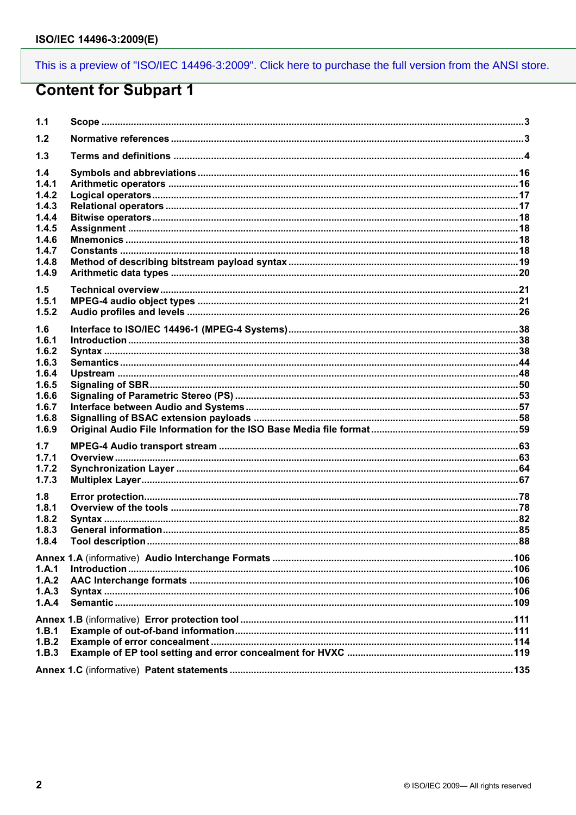# <span id="page-15-0"></span>**Content for Subpart 1**

| 1.1                                                                         |  |
|-----------------------------------------------------------------------------|--|
| 1.2                                                                         |  |
| 1.3                                                                         |  |
| 1.4<br>1.4.1<br>1.4.2<br>1.4.3<br>1.4.4<br>1.4.5<br>1.4.6<br>1.4.7<br>1.4.8 |  |
| 1.4.9<br>1.5<br>1.5.1<br>1.5.2                                              |  |
| 1.6<br>1.6.1<br>1.6.2<br>1.6.3<br>1.6.4<br>1.6.5<br>1.6.6<br>1.6.7<br>1.6.8 |  |
| 1.6.9                                                                       |  |
| 1.7<br>1.7.1<br>1.7.2<br>1.7.3                                              |  |
| 1.8<br>1.8.1<br>1.8.2<br>1.8.3<br>1.8.4                                     |  |
| 1.A.1<br>1.A.2<br>1.A.3<br>1.A.4                                            |  |
| 1.B.1<br>1.B.2<br>1.B.3                                                     |  |